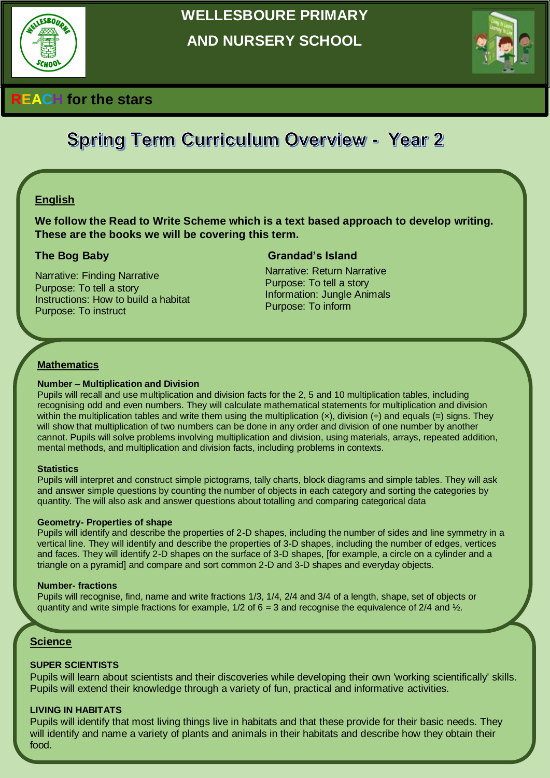

# **WELLESBOURE PRIMARY AND NURSERY SCHOOL**



# **REACH for the stars**

# **Spring Term Curriculum Overview - Year 2**

## **English**

**We follow the Read to Write Scheme which is a text based approach to develop writing. These are the books we will be covering this term.** 

Narrative: Finding Narrative Purpose: To tell a story Instructions: How to build a habitat Purpose: To instruct

#### **The Bog Baby Grandad's Island**

Narrative: Return Narrative Purpose: To tell a story Information: Jungle Animals Purpose: To inform

#### **Mathematics**

#### **Number – Multiplication and Division**

Pupils will recall and use multiplication and division facts for the 2, 5 and 10 multiplication tables, including recognising odd and even numbers. They will calculate mathematical statements for multiplication and division within the multiplication tables and write them using the multiplication  $(x)$ , division  $(+)$  and equals  $(+)$  signs. They will show that multiplication of two numbers can be done in any order and division of one number by another cannot. Pupils will solve problems involving multiplication and division, using materials, arrays, repeated addition, mental methods, and multiplication and division facts, including problems in contexts.

#### **Statistics**

Pupils will interpret and construct simple pictograms, tally charts, block diagrams and simple tables. They will ask and answer simple questions by counting the number of objects in each category and sorting the categories by quantity. The will also ask and answer questions about totalling and comparing categorical data

#### **Geometry- Properties of shape**

Pupils will identify and describe the properties of 2-D shapes, including the number of sides and line symmetry in a vertical line. They will identify and describe the properties of 3-D shapes, including the number of edges, vertices and faces. They will identify 2-D shapes on the surface of 3-D shapes, [for example, a circle on a cylinder and a triangle on a pyramid] and compare and sort common 2-D and 3-D shapes and everyday objects.

#### **Number- fractions**

Pupils will recognise, find, name and write fractions 1/3, 1/4, 2/4 and 3/4 of a length, shape, set of objects or quantity and write simple fractions for example,  $1/2$  of  $6 = 3$  and recognise the equivalence of  $2/4$  and  $\frac{1}{2}$ .

#### **Science**

#### **SUPER SCIENTISTS**

Pupils will learn about scientists and their discoveries while developing their own 'working scientifically' skills. Pupils will extend their knowledge through a variety of fun, practical and informative activities.

#### **LIVING IN HABITATS**

Pupils will identify that most living things live in habitats and that these provide for their basic needs. They will identify and name a variety of plants and animals in their habitats and describe how they obtain their food.